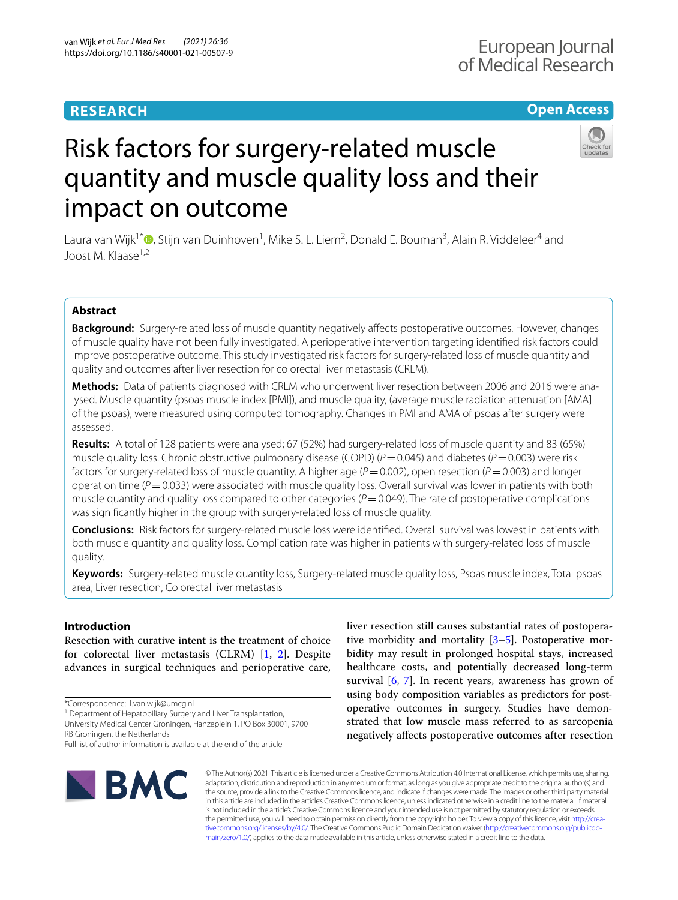## **RESEARCH**

### **Open Access**



# Risk factors for surgery-related muscle quantity and muscle quality loss and their impact on outcome

Laura van Wijk<sup>1\*</sup>®[,](http://orcid.org/0000-0003-2805-9488) Stijn van Duinhoven<sup>1</sup>, Mike S. L. Liem<sup>2</sup>, Donald E. Bouman<sup>3</sup>, Alain R. Viddeleer<sup>4</sup> and Joost M. Klaase<sup>1,2</sup>

### **Abstract**

**Background:** Surgery-related loss of muscle quantity negatively afects postoperative outcomes. However, changes of muscle quality have not been fully investigated. A perioperative intervention targeting identifed risk factors could improve postoperative outcome. This study investigated risk factors for surgery-related loss of muscle quantity and quality and outcomes after liver resection for colorectal liver metastasis (CRLM).

**Methods:** Data of patients diagnosed with CRLM who underwent liver resection between 2006 and 2016 were analysed. Muscle quantity (psoas muscle index [PMI]), and muscle quality, (average muscle radiation attenuation [AMA] of the psoas), were measured using computed tomography. Changes in PMI and AMA of psoas after surgery were assessed.

**Results:** A total of 128 patients were analysed; 67 (52%) had surgery-related loss of muscle quantity and 83 (65%) muscle quality loss. Chronic obstructive pulmonary disease (COPD) ( $P=0.045$ ) and diabetes ( $P=0.003$ ) were risk factors for surgery-related loss of muscle quantity. A higher age ( $P=0.002$ ), open resection ( $P=0.003$ ) and longer operation time ( $P=0.033$ ) were associated with muscle quality loss. Overall survival was lower in patients with both muscle quantity and quality loss compared to other categories  $(P=0.049)$ . The rate of postoperative complications was signifcantly higher in the group with surgery-related loss of muscle quality.

**Conclusions:** Risk factors for surgery-related muscle loss were identifed. Overall survival was lowest in patients with both muscle quantity and quality loss. Complication rate was higher in patients with surgery-related loss of muscle quality.

**Keywords:** Surgery-related muscle quantity loss, Surgery-related muscle quality loss, Psoas muscle index, Total psoas area, Liver resection, Colorectal liver metastasis

### **Introduction**

Resection with curative intent is the treatment of choice for colorectal liver metastasis (CLRM) [[1,](#page-8-0) [2\]](#page-8-1). Despite advances in surgical techniques and perioperative care,

\*Correspondence: l.van.wijk@umcg.nl

<sup>1</sup> Department of Hepatobiliary Surgery and Liver Transplantation,

University Medical Center Groningen, Hanzeplein 1, PO Box 30001, 9700 RB Groningen, the Netherlands

tive morbidity and mortality [\[3](#page-8-2)–[5\]](#page-8-3). Postoperative morbidity may result in prolonged hospital stays, increased healthcare costs, and potentially decreased long-term survival [[6,](#page-8-4) [7\]](#page-8-5). In recent years, awareness has grown of using body composition variables as predictors for postoperative outcomes in surgery. Studies have demonstrated that low muscle mass referred to as sarcopenia negatively afects postoperative outcomes after resection

liver resection still causes substantial rates of postopera-



© The Author(s) 2021. This article is licensed under a Creative Commons Attribution 4.0 International License, which permits use, sharing, adaptation, distribution and reproduction in any medium or format, as long as you give appropriate credit to the original author(s) and the source, provide a link to the Creative Commons licence, and indicate if changes were made. The images or other third party material in this article are included in the article's Creative Commons licence, unless indicated otherwise in a credit line to the material. If material is not included in the article's Creative Commons licence and your intended use is not permitted by statutory regulation or exceeds the permitted use, you will need to obtain permission directly from the copyright holder. To view a copy of this licence, visit [http://crea](http://creativecommons.org/licenses/by/4.0/)[tivecommons.org/licenses/by/4.0/.](http://creativecommons.org/licenses/by/4.0/) The Creative Commons Public Domain Dedication waiver ([http://creativecommons.org/publicdo](http://creativecommons.org/publicdomain/zero/1.0/)[main/zero/1.0/\)](http://creativecommons.org/publicdomain/zero/1.0/) applies to the data made available in this article, unless otherwise stated in a credit line to the data.

Full list of author information is available at the end of the article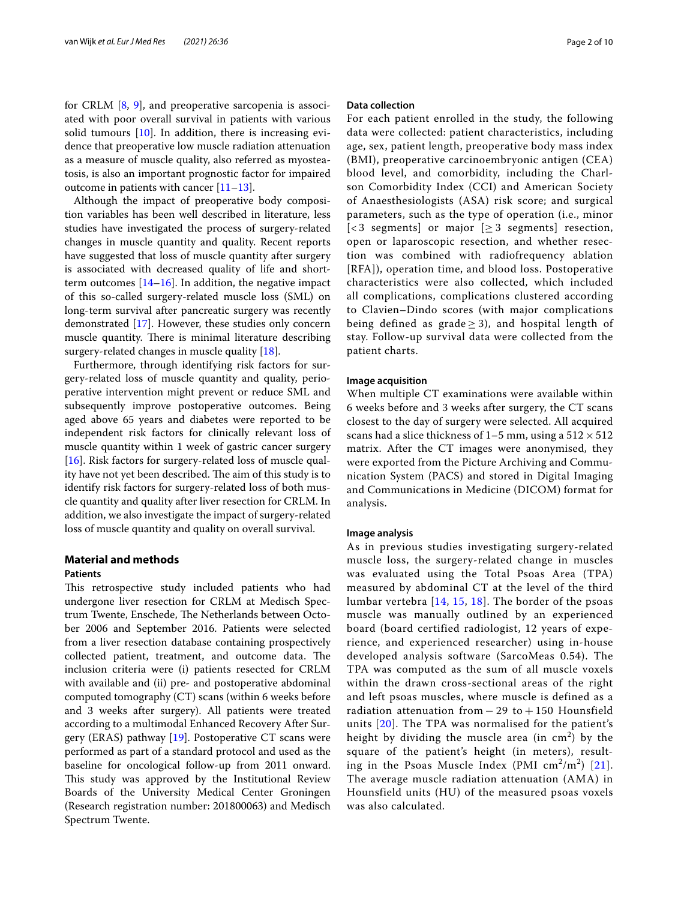for CRLM [[8](#page-8-6), [9](#page-8-7)], and preoperative sarcopenia is associated with poor overall survival in patients with various solid tumours  $[10]$  $[10]$ . In addition, there is increasing evidence that preoperative low muscle radiation attenuation as a measure of muscle quality, also referred as myosteatosis, is also an important prognostic factor for impaired outcome in patients with cancer [\[11](#page-8-9)–[13\]](#page-8-10).

Although the impact of preoperative body composition variables has been well described in literature, less studies have investigated the process of surgery-related changes in muscle quantity and quality. Recent reports have suggested that loss of muscle quantity after surgery is associated with decreased quality of life and shortterm outcomes  $[14–16]$  $[14–16]$  $[14–16]$ . In addition, the negative impact of this so-called surgery-related muscle loss (SML) on long-term survival after pancreatic surgery was recently demonstrated [[17\]](#page-9-1). However, these studies only concern muscle quantity. There is minimal literature describing surgery-related changes in muscle quality [\[18](#page-9-2)].

Furthermore, through identifying risk factors for surgery-related loss of muscle quantity and quality, perioperative intervention might prevent or reduce SML and subsequently improve postoperative outcomes. Being aged above 65 years and diabetes were reported to be independent risk factors for clinically relevant loss of muscle quantity within 1 week of gastric cancer surgery [[16\]](#page-9-0). Risk factors for surgery-related loss of muscle quality have not yet been described. The aim of this study is to identify risk factors for surgery-related loss of both muscle quantity and quality after liver resection for CRLM. In addition, we also investigate the impact of surgery-related loss of muscle quantity and quality on overall survival.

### **Material and methods Patients**

This retrospective study included patients who had undergone liver resection for CRLM at Medisch Spectrum Twente, Enschede, The Netherlands between October 2006 and September 2016. Patients were selected from a liver resection database containing prospectively collected patient, treatment, and outcome data. The inclusion criteria were (i) patients resected for CRLM with available and (ii) pre- and postoperative abdominal computed tomography (CT) scans (within 6 weeks before and 3 weeks after surgery). All patients were treated according to a multimodal Enhanced Recovery After Surgery (ERAS) pathway [[19\]](#page-9-3). Postoperative CT scans were performed as part of a standard protocol and used as the baseline for oncological follow-up from 2011 onward. This study was approved by the Institutional Review Boards of the University Medical Center Groningen (Research registration number: 201800063) and Medisch Spectrum Twente.

### **Data collection**

For each patient enrolled in the study, the following data were collected: patient characteristics, including age, sex, patient length, preoperative body mass index (BMI), preoperative carcinoembryonic antigen (CEA) blood level, and comorbidity, including the Charlson Comorbidity Index (CCI) and American Society of Anaesthesiologists (ASA) risk score; and surgical parameters, such as the type of operation (i.e., minor [<3 segments] or major  $[ \geq 3$  segments] resection, open or laparoscopic resection, and whether resection was combined with radiofrequency ablation [RFA]), operation time, and blood loss. Postoperative characteristics were also collected, which included all complications, complications clustered according to Clavien–Dindo scores (with major complications being defined as grade  $>$  3), and hospital length of stay. Follow-up survival data were collected from the patient charts.

### **Image acquisition**

When multiple CT examinations were available within 6 weeks before and 3 weeks after surgery, the CT scans closest to the day of surgery were selected. All acquired scans had a slice thickness of 1–5 mm, using a  $512 \times 512$ matrix. After the CT images were anonymised, they were exported from the Picture Archiving and Communication System (PACS) and stored in Digital Imaging and Communications in Medicine (DICOM) format for analysis.

### **Image analysis**

As in previous studies investigating surgery-related muscle loss, the surgery-related change in muscles was evaluated using the Total Psoas Area (TPA) measured by abdominal CT at the level of the third lumbar vertebra [[14](#page-8-11), [15](#page-8-12), [18](#page-9-2)]. The border of the psoas muscle was manually outlined by an experienced board (board certified radiologist, 12 years of experience, and experienced researcher) using in-house developed analysis software (SarcoMeas 0.54). The TPA was computed as the sum of all muscle voxels within the drawn cross-sectional areas of the right and left psoas muscles, where muscle is defined as a radiation attenuation from  $-29$  to  $+150$  Hounsfield units [[20](#page-9-4)]. The TPA was normalised for the patient's height by dividing the muscle area (in  $\text{cm}^2$ ) by the square of the patient's height (in meters), resulting in the Psoas Muscle Index (PMI  $\text{cm}^2/\text{m}^2$ ) [[21\]](#page-9-5). The average muscle radiation attenuation (AMA) in Hounsfield units (HU) of the measured psoas voxels was also calculated.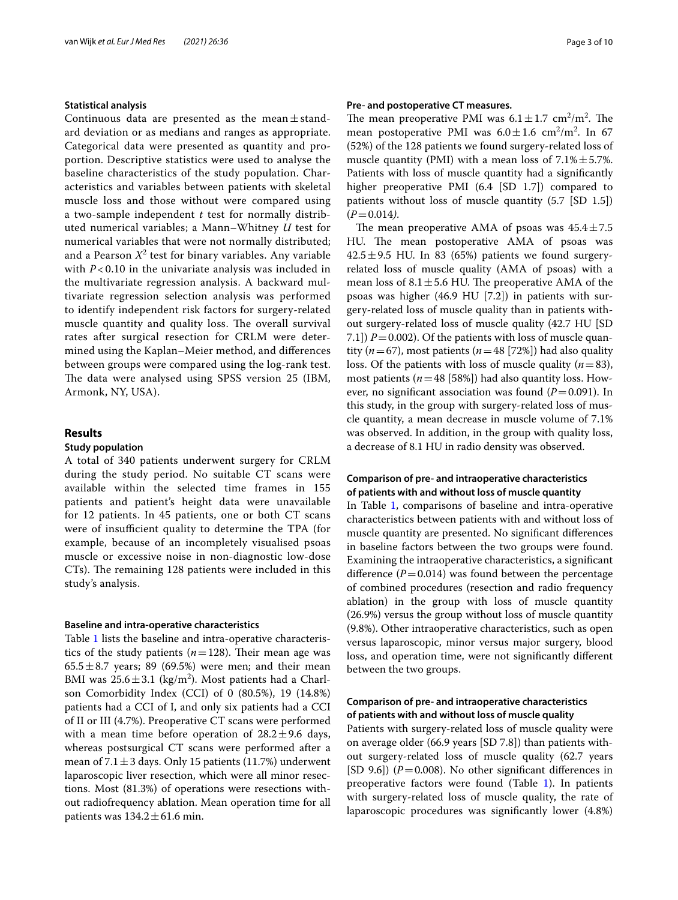### **Statistical analysis**

Continuous data are presented as the mean $\pm$ standard deviation or as medians and ranges as appropriate. Categorical data were presented as quantity and proportion. Descriptive statistics were used to analyse the baseline characteristics of the study population. Characteristics and variables between patients with skeletal muscle loss and those without were compared using a two-sample independent *t* test for normally distributed numerical variables; a Mann–Whitney *U* test for numerical variables that were not normally distributed; and a Pearson  $X^2$  test for binary variables. Any variable with *P* < 0.10 in the univariate analysis was included in the multivariate regression analysis. A backward multivariate regression selection analysis was performed to identify independent risk factors for surgery-related muscle quantity and quality loss. The overall survival rates after surgical resection for CRLM were determined using the Kaplan–Meier method, and diferences between groups were compared using the log-rank test. The data were analysed using SPSS version 25 (IBM, Armonk, NY, USA).

### **Results**

### **Study population**

A total of 340 patients underwent surgery for CRLM during the study period. No suitable CT scans were available within the selected time frames in 155 patients and patient's height data were unavailable for 12 patients. In 45 patients, one or both CT scans were of insufficient quality to determine the TPA (for example, because of an incompletely visualised psoas muscle or excessive noise in non-diagnostic low-dose CTs). The remaining 128 patients were included in this study's analysis.

### **Baseline and intra‑operative characteristics**

Table [1](#page-3-0) lists the baseline and intra-operative characteristics of the study patients  $(n=128)$ . Their mean age was  $65.5 \pm 8.7$  years; 89 (69.5%) were men; and their mean BMI was  $25.6 \pm 3.1$  (kg/m<sup>2</sup>). Most patients had a Charlson Comorbidity Index (CCI) of 0 (80.5%), 19 (14.8%) patients had a CCI of I, and only six patients had a CCI of II or III (4.7%). Preoperative CT scans were performed with a mean time before operation of  $28.2 \pm 9.6$  days, whereas postsurgical CT scans were performed after a mean of  $7.1 \pm 3$  days. Only 15 patients (11.7%) underwent laparoscopic liver resection, which were all minor resections. Most (81.3%) of operations were resections without radiofrequency ablation. Mean operation time for all patients was  $134.2 \pm 61.6$  min.

### **Pre‑ and postoperative CT measures.**

The mean preoperative PMI was  $6.1 \pm 1.7 \text{ cm}^2/\text{m}^2$ . The mean postoperative PMI was  $6.0 \pm 1.6$  cm<sup>2</sup>/m<sup>2</sup>. In 67 (52%) of the 128 patients we found surgery-related loss of muscle quantity (PMI) with a mean loss of  $7.1\% \pm 5.7\%$ . Patients with loss of muscle quantity had a signifcantly higher preoperative PMI (6.4 [SD 1.7]) compared to patients without loss of muscle quantity (5.7 [SD 1.5])  $(P=0.014)$ .

The mean preoperative AMA of psoas was  $45.4 \pm 7.5$ HU. The mean postoperative AMA of psoas was  $42.5 \pm 9.5$  HU. In 83 (65%) patients we found surgeryrelated loss of muscle quality (AMA of psoas) with a mean loss of  $8.1 \pm 5.6$  HU. The preoperative AMA of the psoas was higher (46.9 HU [7.2]) in patients with surgery-related loss of muscle quality than in patients without surgery-related loss of muscle quality (42.7 HU [SD 7.1])  $P = 0.002$ ). Of the patients with loss of muscle quantity ( $n=67$ ), most patients ( $n=48$  [72%]) had also quality loss. Of the patients with loss of muscle quality  $(n=83)$ , most patients (*n*=48 [58%]) had also quantity loss. However, no significant association was found  $(P=0.091)$ . In this study, in the group with surgery-related loss of muscle quantity, a mean decrease in muscle volume of 7.1% was observed. In addition, in the group with quality loss, a decrease of 8.1 HU in radio density was observed.

### **Comparison of pre‑ and intraoperative characteristics of patients with and without loss of muscle quantity**

In Table [1](#page-3-0), comparisons of baseline and intra-operative characteristics between patients with and without loss of muscle quantity are presented. No signifcant diferences in baseline factors between the two groups were found. Examining the intraoperative characteristics, a signifcant difference  $(P=0.014)$  was found between the percentage of combined procedures (resection and radio frequency ablation) in the group with loss of muscle quantity (26.9%) versus the group without loss of muscle quantity (9.8%). Other intraoperative characteristics, such as open versus laparoscopic, minor versus major surgery, blood loss, and operation time, were not signifcantly diferent between the two groups.

### **Comparison of pre‑ and intraoperative characteristics of patients with and without loss of muscle quality**

Patients with surgery-related loss of muscle quality were on average older (66.9 years [SD 7.8]) than patients without surgery-related loss of muscle quality (62.7 years  $[SD 9.6]$ ) ( $P = 0.008$ ). No other significant differences in preoperative factors were found (Table  $1$ ). In patients with surgery-related loss of muscle quality, the rate of laparoscopic procedures was signifcantly lower (4.8%)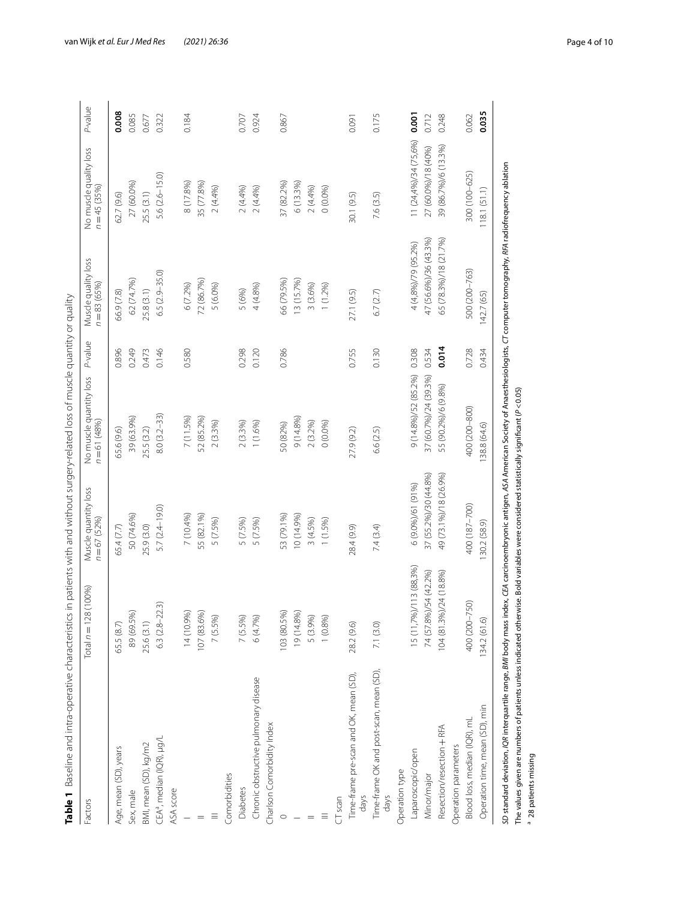<span id="page-3-0"></span>

| Factors                                         | (100%)<br>Total $n = 128$ | Muscle quantity loss<br>$n = 67$ (52%) | No muscle quantity loss<br>$n = 61(48%)$ | P-value | Muscle quality loss<br>$n = 83$ (65%) | No muscle quality loss<br>$n = 45(35%)$ | P-value |
|-------------------------------------------------|---------------------------|----------------------------------------|------------------------------------------|---------|---------------------------------------|-----------------------------------------|---------|
| Age, mean (SD), years                           | 65.5 (8.7)                | 65.4 (7.7)                             | 65.6 (9.6)                               | 0.896   | 66.9 (7.8)                            | 62.7 (9.6)                              | 0.008   |
| Sex, male                                       | 89 (69.5%)                | 50 (74.6%)                             | 39 (63.9%)                               | 0.249   | 62 (74.7%)                            | 27 (60.0%)                              | 0.085   |
| BMI, mean (SD), kg/m2                           | 25.6(3.1)                 | 25.9 (3.0)                             | 25.5 (3.2)                               | 0.473   | 25.8(3.1)                             | 25.5(3.1)                               | 0.677   |
| CEA <sup>a</sup> , median (IQR), µg/L           | 3<br>$6.3(2.8-22)$        | 5.7 (2.4-19.0)                         | $8.0(3.2 - 33)$                          | 0.146   | $6.5(2.9 - 35.0)$                     | 5.6 (2.6-15.0)                          | 0.322   |
| ASA score                                       |                           |                                        |                                          |         |                                       |                                         |         |
|                                                 | 14 (10.9%)                | 7 (10.4%)                              | 7 (11.5%)                                | 0.580   | 6 (7.2%)                              | 8 (17.8%)                               | 0.184   |
|                                                 | 107 (83.6%)               | 55 (82.1%)                             | 52 (85.2%)                               |         | 72 (86.7%)                            | 35 (77.8%)                              |         |
|                                                 | 7 (5.5%)                  | 5 (7.5%)                               | 2(3.3%)                                  |         | 5 (6.0%)                              | 2(4.4%)                                 |         |
| Comorbidities                                   |                           |                                        |                                          |         |                                       |                                         |         |
| Diabetes                                        | 7 (5.5%)                  | 5 (7.5%)                               | 2(3.3%)                                  | 0.298   | 5 (6%)                                | 2(4.4%)                                 | 0.707   |
| Chronic obstructive pulmonary disease           | 6(4.7%)                   | 5 (7.5%)                               | 1(1.6%)                                  | 0.120   | 4 (4.8%)                              | 2(4.4%)                                 | 0.924   |
| Charlson Comorbidity Index                      |                           |                                        |                                          |         |                                       |                                         |         |
|                                                 | 103 (80.5%)               | 53 (79.1%)                             | 50 (82%)                                 | 0.786   | 66 (79.5%)                            | 37 (82.2%)                              | 0.867   |
|                                                 | 19 (14.8%)                | 10 (14.9%)                             | 9 (14.8%)                                |         | 13 (15.7%)                            | 6 (13.3%)                               |         |
|                                                 | 5 (3.9%)                  | 3 (4.5%)                               | 2 (3.2%)                                 |         | 3(3.6%)                               | 2(4.4%)                                 |         |
| Ξ                                               | 1(0.8%)                   | 1 (1.5%)                               | 0(0.0%)                                  |         | 1(1.2%)                               | 0(0.0%                                  |         |
| CT scan                                         |                           |                                        |                                          |         |                                       |                                         |         |
| Time-frame pre-scan and OK, mean (SD),<br>days  | 28.2 (9.6)                | 28.4 (9.9)                             | 27.9 (9.2)                               | 0.755   | 27.1 (9.5)                            | 30.1 (9.5)                              | 0.091   |
| Time-frame OK and post-scan, mean (SD),<br>days | 7.1(3.0)                  | 7.4 (3.4)                              | 6.6 (2.5)                                | 0.130   | 6.7(2.7)                              | 7.6 (3.5)                               | 0.175   |
| Operation type                                  |                           |                                        |                                          |         |                                       |                                         |         |
| Laparoscopic/open                               | 15 (11,7%)/113 (88,3%)    | 6 (9.0%)/61 (91%)                      | 9 (14.8%)/52 (85.2%)                     | 0.308   | 4 (4,8%)/79 (95.2%)                   | 11 (24,4%)/34 (75,6%)                   | 0.001   |
| Minor/major                                     | 74 (57.8%)/54 (42.2%)     | 37 (55.2%)/30 (44.8%)                  | 37 (60.7%)/24 (39.3%)                    | 0.534   | 47 (56.6%)/36 (43.3%)                 | 27 (60.0%)/18 (40%)                     | 0.712   |
| Resection/resection + RFA                       | 104 (81.3%)/24 (18.8%)    | 49 (73.1%)/18 (26.9%)                  | 55 (90.2%)/6 (9.8%)                      | 0.014   | 65 (78.3%)/18 (21.7%)                 | 39 (86.7%)/6 (13.3%)                    | 0.248   |
| Operation parameters                            |                           |                                        |                                          |         |                                       |                                         |         |
| Blood loss, median (IQR), mL                    | 400 (200-750)             | 400 (187-700)                          | 400 (200-800)                            | 0.728   | 500 (200-763)                         | 300 (100-625)                           | 0.062   |
| Operation time, mean (SD), min                  | 134.2(61.6)               | 30.2 (58.9)                            | 38.8 (64.6)                              | 0.434   | 142.7 (65)                            | 118.1(51.1)                             | 0.035   |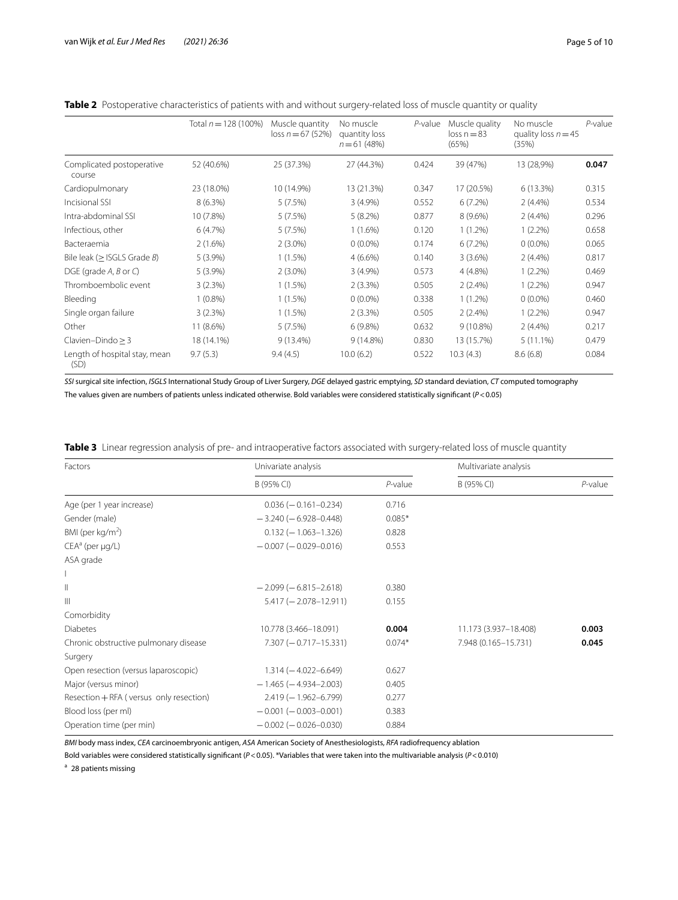<span id="page-4-0"></span>

| Table 2 Postoperative characteristics of patients with and without surgery-related loss of muscle quantity or quality |  |
|-----------------------------------------------------------------------------------------------------------------------|--|
|                                                                                                                       |  |

|                                           | Total $n = 128(100\%)$ | Muscle quantity<br>$loss n = 67 (52%)$ | No muscle<br>quantity loss<br>$n = 61(48%)$ | $P$ -value | Muscle quality<br>$loss n = 83$<br>(65%) | No muscle<br>quality loss $n = 45$<br>(35%) | P-value |
|-------------------------------------------|------------------------|----------------------------------------|---------------------------------------------|------------|------------------------------------------|---------------------------------------------|---------|
| Complicated postoperative<br>course       | 52 (40.6%)             | 25 (37.3%)                             | 27 (44.3%)                                  | 0.424      | 39 (47%)                                 | 13 (28,9%)                                  | 0.047   |
| Cardiopulmonary                           | 23 (18.0%)             | 10 (14.9%)                             | 13 (21.3%)                                  | 0.347      | 17 (20.5%)                               | 6(13.3%)                                    | 0.315   |
| Incisional SSI                            | $8(6.3\%)$             | 5(7.5%)                                | $3(4.9\%)$                                  | 0.552      | 6(7.2%)                                  | $2(4.4\%)$                                  | 0.534   |
| Intra-abdominal SSI                       | 10 (7.8%)              | 5(7.5%)                                | $5(8.2\%)$                                  | 0.877      | $8(9.6\%)$                               | $2(4.4\%)$                                  | 0.296   |
| Infectious, other                         | 6(4.7%)                | 5(7.5%)                                | $1(1.6\%)$                                  | 0.120      | $1(1.2\%)$                               | $1(2.2\%)$                                  | 0.658   |
| Bacteraemia                               | 2(1.6%)                | $2(3.0\%)$                             | $0(0.0\%)$                                  | 0.174      | 6(7.2%)                                  | $0(0.0\%)$                                  | 0.065   |
| Bile leak ( $\geq$ ISGLS Grade <i>B</i> ) | $5(3.9\%)$             | $1(1.5\%)$                             | $4(6.6\%)$                                  | 0.140      | 3(3.6%)                                  | $2(4.4\%)$                                  | 0.817   |
| DGE (grade $A$ , $B$ or $C$ )             | $5(3.9\%)$             | $2(3.0\%)$                             | $3(4.9\%)$                                  | 0.573      | $4(4.8\%)$                               | $1(2.2\%)$                                  | 0.469   |
| Thromboembolic event                      | 3(2.3%)                | $1(1.5\%)$                             | $2(3.3\%)$                                  | 0.505      | $2(2.4\%)$                               | $1(2.2\%)$                                  | 0.947   |
| Bleeding                                  | $1(0.8\%)$             | 1(1.5%)                                | $0(0.0\%)$                                  | 0.338      | $1(1.2\%)$                               | $0(0.0\%)$                                  | 0.460   |
| Single organ failure                      | 3(2.3%)                | 1(1.5%)                                | $2(3.3\%)$                                  | 0.505      | $2(2.4\%)$                               | $1(2.2\%)$                                  | 0.947   |
| Other                                     | 11 (8.6%)              | 5(7.5%)                                | $6(9.8\%)$                                  | 0.632      | $9(10.8\%)$                              | $2(4.4\%)$                                  | 0.217   |
| Clavien-Dindo $\geq$ 3                    | 18 (14.1%)             | $9(13.4\%)$                            | $9(14.8\%)$                                 | 0.830      | 13 (15.7%)                               | $5(11.1\%)$                                 | 0.479   |
| Length of hospital stay, mean<br>(SD)     | 9.7(5.3)               | 9.4(4.5)                               | 10.0(6.2)                                   | 0.522      | 10.3(4.3)                                | 8.6(6.8)                                    | 0.084   |

*SSI* surgical site infection, *ISGLS* International Study Group of Liver Surgery, *DGE* delayed gastric emptying, *SD* standard deviation, *CT* computed tomography The values given are numbers of patients unless indicated otherwise. Bold variables were considered statistically signifcant (*P*<0.05)

<span id="page-4-1"></span>

|  |  |  |  | <b>Table 3</b> Linear regression analysis of pre- and intraoperative factors associated with surgery-related loss of muscle quantity |  |
|--|--|--|--|--------------------------------------------------------------------------------------------------------------------------------------|--|
|--|--|--|--|--------------------------------------------------------------------------------------------------------------------------------------|--|

| Factors                                 | Univariate analysis         |            | Multivariate analysis |            |
|-----------------------------------------|-----------------------------|------------|-----------------------|------------|
|                                         | B (95% CI)                  | $P$ -value | B (95% CI)            | $P$ -value |
| Age (per 1 year increase)               | $0.036 (-0.161 - 0.234)$    | 0.716      |                       |            |
| Gender (male)                           | $-3.240(-6.928-0.448)$      | $0.085*$   |                       |            |
| BMI (per $kg/m2$ )                      | $0.132 (-1.063 - 1.326)$    | 0.828      |                       |            |
| $CEAa$ (per $\mu q/L$ )                 | $-0.007(-0.029-0.016)$      | 0.553      |                       |            |
| ASA grade                               |                             |            |                       |            |
|                                         |                             |            |                       |            |
| $\parallel$                             | $-2.099(-6.815-2.618)$      | 0.380      |                       |            |
| $\mathbb{H}$                            | $5.417 (-2.078 - 12.911)$   | 0.155      |                       |            |
| Comorbidity                             |                             |            |                       |            |
| <b>Diabetes</b>                         | 10.778 (3.466-18.091)       | 0.004      | 11.173 (3.937-18.408) | 0.003      |
| Chronic obstructive pulmonary disease   | $7.307 (-0.717 - 15.331)$   | $0.074*$   | 7.948 (0.165-15.731)  | 0.045      |
| Surgery                                 |                             |            |                       |            |
| Open resection (versus laparoscopic)    | $1.314 (-4.022 - 6.649)$    | 0.627      |                       |            |
| Major (versus minor)                    | $-1.465$ ( $-4.934-2.003$ ) | 0.405      |                       |            |
| Resection + RFA (versus only resection) | $2.419(-1.962-6.799)$       | 0.277      |                       |            |
| Blood loss (per ml)                     | $-0.001(-0.003-0.001)$      | 0.383      |                       |            |
| Operation time (per min)                | $-0.002(-0.026-0.030)$      | 0.884      |                       |            |

*BMI* body mass index, *CEA* carcinoembryonic antigen, *ASA* American Society of Anesthesiologists, *RFA* radiofrequency ablation

Bold variables were considered statistically signifcant (*P*<0.05). \*Variables that were taken into the multivariable analysis (*P*<0.010)

<sup>a</sup> 28 patients missing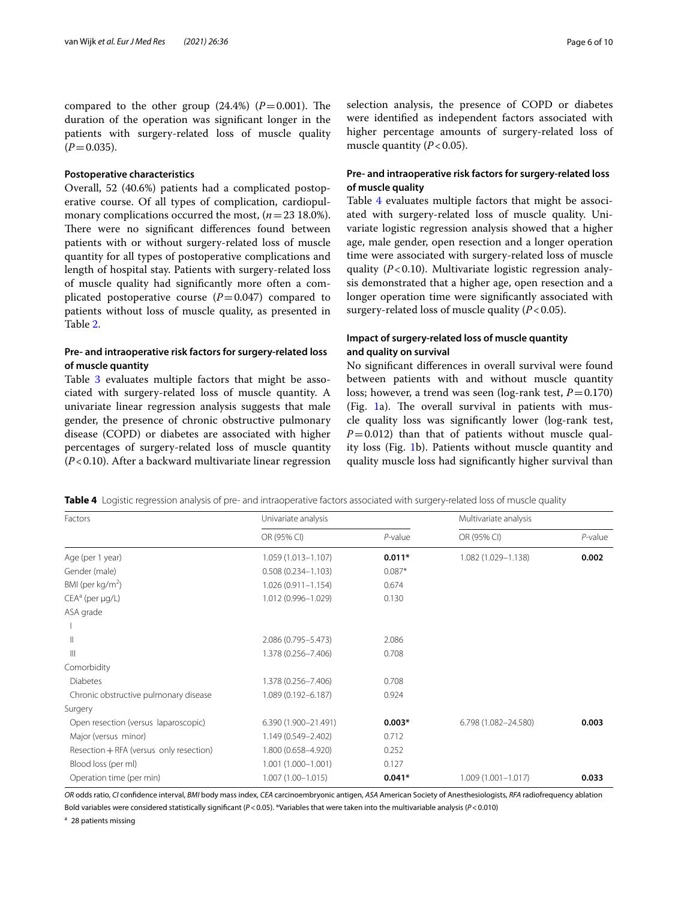compared to the other group  $(24.4%)$   $(P=0.001)$ . The duration of the operation was signifcant longer in the patients with surgery-related loss of muscle quality  $(P=0.035)$ .

### **Postoperative characteristics**

Overall, 52 (40.6%) patients had a complicated postoperative course. Of all types of complication, cardiopulmonary complications occurred the most, (*n*=23 18.0%). There were no significant differences found between patients with or without surgery-related loss of muscle quantity for all types of postoperative complications and length of hospital stay. Patients with surgery-related loss of muscle quality had signifcantly more often a complicated postoperative course  $(P=0.047)$  compared to patients without loss of muscle quality, as presented in Table [2](#page-4-0).

### **Pre‑ and intraoperative risk factors for surgery‑related loss of muscle quantity**

Table [3](#page-4-1) evaluates multiple factors that might be associated with surgery-related loss of muscle quantity. A univariate linear regression analysis suggests that male gender, the presence of chronic obstructive pulmonary disease (COPD) or diabetes are associated with higher percentages of surgery-related loss of muscle quantity (*P*<0.10). After a backward multivariate linear regression selection analysis, the presence of COPD or diabetes were identifed as independent factors associated with higher percentage amounts of surgery-related loss of muscle quantity  $(P<0.05)$ .

### **Pre‑ and intraoperative risk factors for surgery‑related loss of muscle quality**

Table [4](#page-5-0) evaluates multiple factors that might be associated with surgery-related loss of muscle quality. Univariate logistic regression analysis showed that a higher age, male gender, open resection and a longer operation time were associated with surgery-related loss of muscle quality (*P*<0.10). Multivariate logistic regression analysis demonstrated that a higher age, open resection and a longer operation time were signifcantly associated with surgery-related loss of muscle quality (*P*<0.05).

### **Impact of surgery‑related loss of muscle quantity and quality on survival**

No signifcant diferences in overall survival were found between patients with and without muscle quantity loss; however, a trend was seen (log-rank test,  $P=0.170$ ) (Fig.  $1a$  $1a$ ). The overall survival in patients with muscle quality loss was signifcantly lower (log-rank test,  $P=0.012$ ) than that of patients without muscle quality loss (Fig. [1](#page-6-0)b). Patients without muscle quantity and quality muscle loss had signifcantly higher survival than

<span id="page-5-0"></span>**Table 4** Logistic regression analysis of pre- and intraoperative factors associated with surgery-related loss of muscle quality

| Factors                                 | Univariate analysis    |            | Multivariate analysis  |            |
|-----------------------------------------|------------------------|------------|------------------------|------------|
|                                         | OR (95% CI)            | $P$ -value | OR (95% CI)            | $P$ -value |
| Age (per 1 year)                        | 1.059 (1.013-1.107)    | $0.011*$   | 1.082 (1.029-1.138)    | 0.002      |
| Gender (male)                           | $0.508(0.234 - 1.103)$ | $0.087*$   |                        |            |
| BMI (per $kg/m2$ )                      | $1.026(0.911 - 1.154)$ | 0.674      |                        |            |
| $CEAa$ (per $\mu q/L$ )                 | 1.012 (0.996-1.029)    | 0.130      |                        |            |
| ASA grade                               |                        |            |                        |            |
|                                         |                        |            |                        |            |
| Ш                                       | 2.086 (0.795-5.473)    | 2.086      |                        |            |
| Ш                                       | 1.378 (0.256-7.406)    | 0.708      |                        |            |
| Comorbidity                             |                        |            |                        |            |
| <b>Diabetes</b>                         | 1.378 (0.256-7.406)    | 0.708      |                        |            |
| Chronic obstructive pulmonary disease   | 1.089 (0.192-6.187)    | 0.924      |                        |            |
| Surgery                                 |                        |            |                        |            |
| Open resection (versus laparoscopic)    | 6.390 (1.900-21.491)   | $0.003*$   | 6.798 (1.082-24.580)   | 0.003      |
| Major (versus minor)                    | 1.149 (0.549-2.402)    | 0.712      |                        |            |
| Resection + RFA (versus only resection) | 1.800 (0.658-4.920)    | 0.252      |                        |            |
| Blood loss (per ml)                     | 1.001 (1.000-1.001)    | 0.127      |                        |            |
| Operation time (per min)                | $1.007(1.00 - 1.015)$  | $0.041*$   | $1.009(1.001 - 1.017)$ | 0.033      |

*OR* odds ratio, *CI* confdence interval, *BMI* body mass index, *CEA* carcinoembryonic antigen, *ASA* American Society of Anesthesiologists, *RFA* radiofrequency ablation Bold variables were considered statistically signifcant (*P*<0.05). \*Variables that were taken into the multivariable analysis (*P*<0.010)

<sup>a</sup> 28 patients missing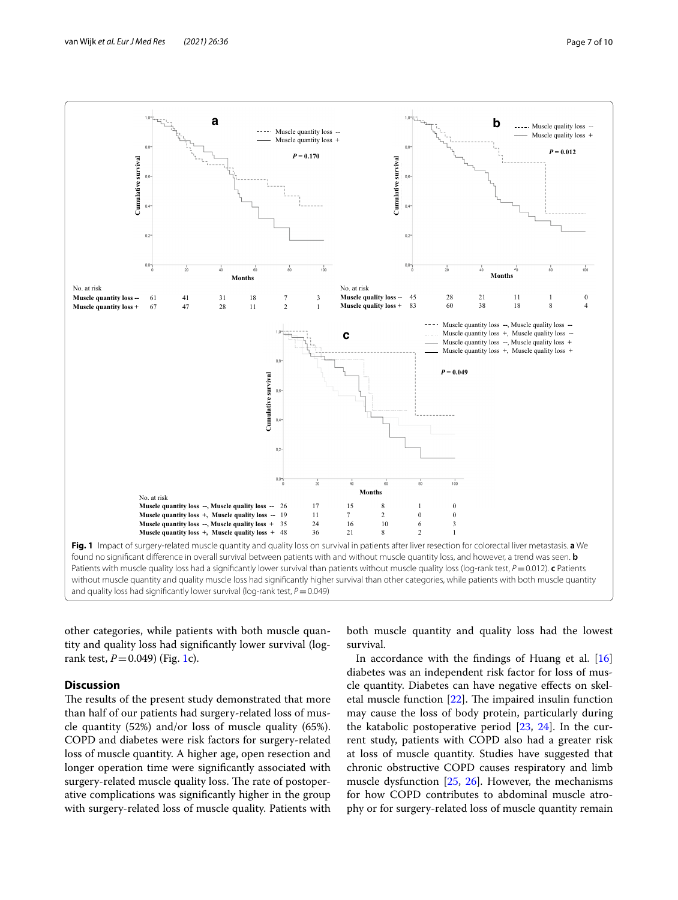

<span id="page-6-0"></span>other categories, while patients with both muscle quantity and quality loss had signifcantly lower survival (logrank test, *P*=0.049) (Fig. [1](#page-6-0)c).

### **Discussion**

The results of the present study demonstrated that more than half of our patients had surgery-related loss of muscle quantity (52%) and/or loss of muscle quality (65%). COPD and diabetes were risk factors for surgery-related loss of muscle quantity. A higher age, open resection and longer operation time were signifcantly associated with surgery-related muscle quality loss. The rate of postoperative complications was signifcantly higher in the group with surgery-related loss of muscle quality. Patients with both muscle quantity and quality loss had the lowest survival.

In accordance with the fndings of Huang et al. [[16](#page-9-0)] diabetes was an independent risk factor for loss of muscle quantity. Diabetes can have negative efects on skeletal muscle function  $[22]$  $[22]$ . The impaired insulin function may cause the loss of body protein, particularly during the katabolic postoperative period  $[23, 24]$  $[23, 24]$  $[23, 24]$  $[23, 24]$  $[23, 24]$ . In the current study, patients with COPD also had a greater risk at loss of muscle quantity. Studies have suggested that chronic obstructive COPD causes respiratory and limb muscle dysfunction [[25,](#page-9-9) [26\]](#page-9-10). However, the mechanisms for how COPD contributes to abdominal muscle atrophy or for surgery-related loss of muscle quantity remain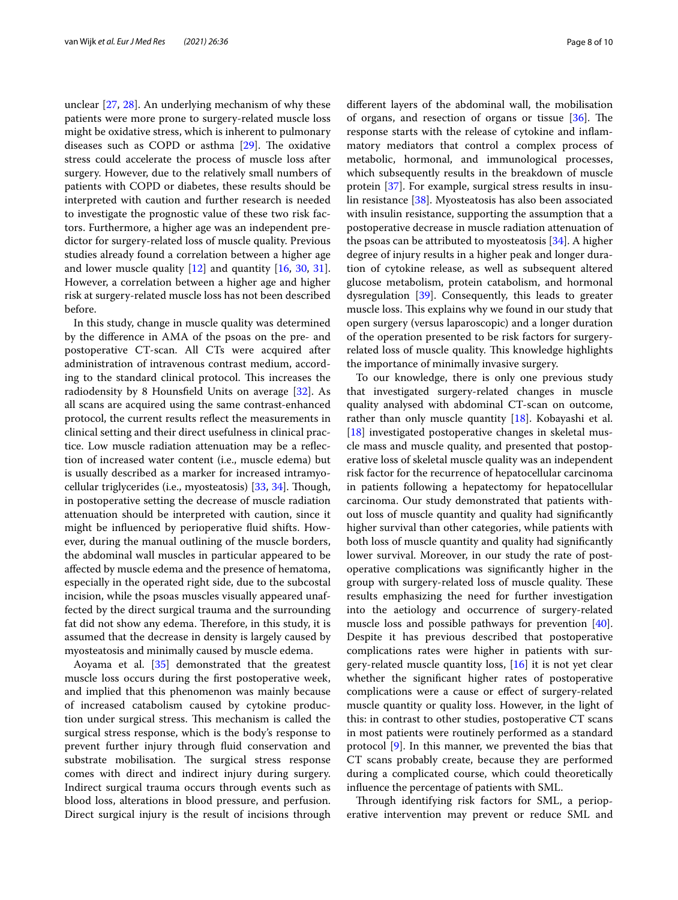unclear [\[27](#page-9-11), [28\]](#page-9-12). An underlying mechanism of why these patients were more prone to surgery-related muscle loss might be oxidative stress, which is inherent to pulmonary diseases such as COPD or asthma  $[29]$  $[29]$ . The oxidative stress could accelerate the process of muscle loss after surgery. However, due to the relatively small numbers of patients with COPD or diabetes, these results should be interpreted with caution and further research is needed to investigate the prognostic value of these two risk factors. Furthermore, a higher age was an independent predictor for surgery-related loss of muscle quality. Previous studies already found a correlation between a higher age and lower muscle quality  $[12]$  $[12]$  and quantity  $[16, 30, 31]$  $[16, 30, 31]$  $[16, 30, 31]$  $[16, 30, 31]$  $[16, 30, 31]$  $[16, 30, 31]$ . However, a correlation between a higher age and higher risk at surgery-related muscle loss has not been described before.

In this study, change in muscle quality was determined by the diference in AMA of the psoas on the pre- and postoperative CT-scan. All CTs were acquired after administration of intravenous contrast medium, according to the standard clinical protocol. This increases the radiodensity by 8 Hounsfeld Units on average [[32](#page-9-16)]. As all scans are acquired using the same contrast-enhanced protocol, the current results refect the measurements in clinical setting and their direct usefulness in clinical practice. Low muscle radiation attenuation may be a refection of increased water content (i.e., muscle edema) but is usually described as a marker for increased intramyocellular triglycerides (i.e., myosteatosis) [[33,](#page-9-17) [34\]](#page-9-18). Tough, in postoperative setting the decrease of muscle radiation attenuation should be interpreted with caution, since it might be infuenced by perioperative fuid shifts. However, during the manual outlining of the muscle borders, the abdominal wall muscles in particular appeared to be afected by muscle edema and the presence of hematoma, especially in the operated right side, due to the subcostal incision, while the psoas muscles visually appeared unaffected by the direct surgical trauma and the surrounding fat did not show any edema. Therefore, in this study, it is assumed that the decrease in density is largely caused by myosteatosis and minimally caused by muscle edema.

Aoyama et al. [\[35\]](#page-9-19) demonstrated that the greatest muscle loss occurs during the frst postoperative week, and implied that this phenomenon was mainly because of increased catabolism caused by cytokine production under surgical stress. This mechanism is called the surgical stress response, which is the body's response to prevent further injury through fuid conservation and substrate mobilisation. The surgical stress response comes with direct and indirect injury during surgery. Indirect surgical trauma occurs through events such as blood loss, alterations in blood pressure, and perfusion. Direct surgical injury is the result of incisions through diferent layers of the abdominal wall, the mobilisation of organs, and resection of organs or tissue  $[36]$  $[36]$ . The response starts with the release of cytokine and infammatory mediators that control a complex process of metabolic, hormonal, and immunological processes, which subsequently results in the breakdown of muscle protein [[37\]](#page-9-21). For example, surgical stress results in insulin resistance [[38](#page-9-22)]. Myosteatosis has also been associated with insulin resistance, supporting the assumption that a postoperative decrease in muscle radiation attenuation of the psoas can be attributed to myosteatosis [\[34](#page-9-18)]. A higher degree of injury results in a higher peak and longer duration of cytokine release, as well as subsequent altered glucose metabolism, protein catabolism, and hormonal dysregulation [\[39](#page-9-23)]. Consequently, this leads to greater muscle loss. This explains why we found in our study that open surgery (versus laparoscopic) and a longer duration of the operation presented to be risk factors for surgeryrelated loss of muscle quality. This knowledge highlights the importance of minimally invasive surgery.

To our knowledge, there is only one previous study that investigated surgery-related changes in muscle quality analysed with abdominal CT-scan on outcome, rather than only muscle quantity [[18\]](#page-9-2). Kobayashi et al. [[18\]](#page-9-2) investigated postoperative changes in skeletal muscle mass and muscle quality, and presented that postoperative loss of skeletal muscle quality was an independent risk factor for the recurrence of hepatocellular carcinoma in patients following a hepatectomy for hepatocellular carcinoma. Our study demonstrated that patients without loss of muscle quantity and quality had signifcantly higher survival than other categories, while patients with both loss of muscle quantity and quality had signifcantly lower survival. Moreover, in our study the rate of postoperative complications was signifcantly higher in the group with surgery-related loss of muscle quality. These results emphasizing the need for further investigation into the aetiology and occurrence of surgery-related muscle loss and possible pathways for prevention [\[40](#page-9-24)]. Despite it has previous described that postoperative complications rates were higher in patients with surgery-related muscle quantity loss, [\[16\]](#page-9-0) it is not yet clear whether the signifcant higher rates of postoperative complications were a cause or efect of surgery-related muscle quantity or quality loss. However, in the light of this: in contrast to other studies, postoperative CT scans in most patients were routinely performed as a standard protocol [[9\]](#page-8-7). In this manner, we prevented the bias that CT scans probably create, because they are performed during a complicated course, which could theoretically infuence the percentage of patients with SML.

Through identifying risk factors for SML, a perioperative intervention may prevent or reduce SML and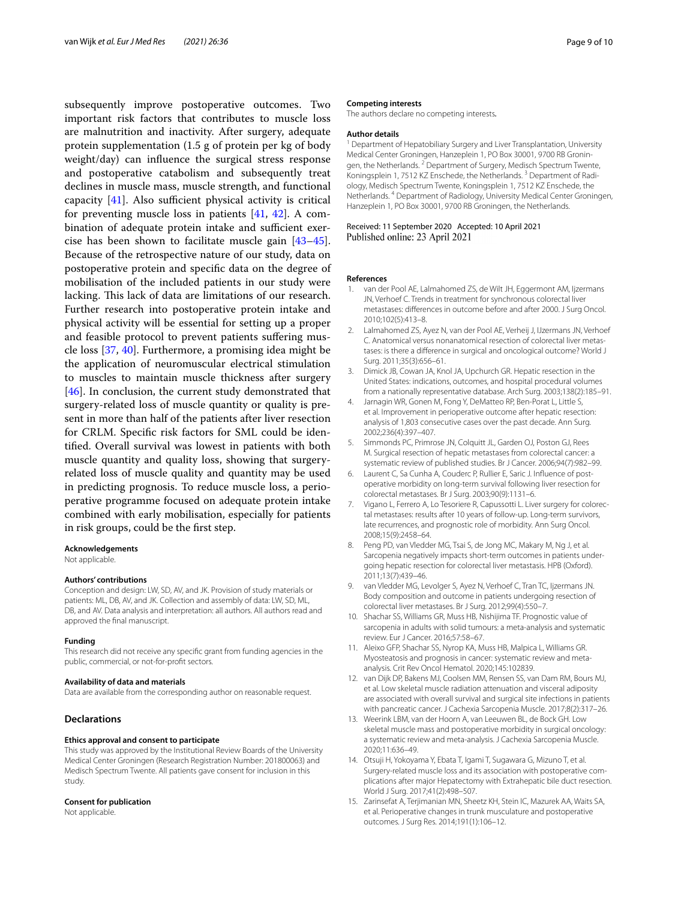subsequently improve postoperative outcomes. Two important risk factors that contributes to muscle loss are malnutrition and inactivity. After surgery, adequate protein supplementation (1.5 g of protein per kg of body weight/day) can infuence the surgical stress response and postoperative catabolism and subsequently treat declines in muscle mass, muscle strength, and functional capacity  $[41]$  $[41]$ . Also sufficient physical activity is critical for preventing muscle loss in patients  $[41, 42]$  $[41, 42]$  $[41, 42]$  $[41, 42]$ . A combination of adequate protein intake and sufficient exercise has been shown to facilitate muscle gain [[43](#page-9-27)[–45](#page-9-28)]. Because of the retrospective nature of our study, data on postoperative protein and specifc data on the degree of mobilisation of the included patients in our study were lacking. This lack of data are limitations of our research. Further research into postoperative protein intake and physical activity will be essential for setting up a proper and feasible protocol to prevent patients sufering muscle loss [\[37](#page-9-21), [40\]](#page-9-24). Furthermore, a promising idea might be the application of neuromuscular electrical stimulation to muscles to maintain muscle thickness after surgery [[46\]](#page-9-29). In conclusion, the current study demonstrated that surgery-related loss of muscle quantity or quality is present in more than half of the patients after liver resection for CRLM. Specifc risk factors for SML could be identifed. Overall survival was lowest in patients with both muscle quantity and quality loss, showing that surgeryrelated loss of muscle quality and quantity may be used in predicting prognosis. To reduce muscle loss, a perioperative programme focused on adequate protein intake combined with early mobilisation, especially for patients in risk groups, could be the frst step.

#### **Acknowledgements**

Not applicable.

#### **Authors' contributions**

Conception and design: LW, SD, AV, and JK. Provision of study materials or patients: ML, DB, AV, and JK. Collection and assembly of data: LW, SD, ML, DB, and AV. Data analysis and interpretation: all authors. All authors read and approved the fnal manuscript.

#### **Funding**

This research did not receive any specifc grant from funding agencies in the public, commercial, or not-for-proft sectors.

#### **Availability of data and materials**

Data are available from the corresponding author on reasonable request.

### **Declarations**

#### **Ethics approval and consent to participate**

This study was approved by the Institutional Review Boards of the University Medical Center Groningen (Research Registration Number: 201800063) and Medisch Spectrum Twente. All patients gave consent for inclusion in this study.

#### **Consent for publication**

Not applicable.

#### **Competing interests**

The authors declare no competing interests*.*

#### **Author details**

<sup>1</sup> Department of Hepatobiliary Surgery and Liver Transplantation, University Medical Center Groningen, Hanzeplein 1, PO Box 30001, 9700 RB Groningen, the Netherlands. <sup>2</sup> Department of Surgery, Medisch Spectrum Twente, Koningsplein 1, 7512 KZ Enschede, the Netherlands.<sup>3</sup> Department of Radiology, Medisch Spectrum Twente, Koningsplein 1, 7512 KZ Enschede, the Netherlands. 4 Department of Radiology, University Medical Center Groningen, Hanzeplein 1, PO Box 30001, 9700 RB Groningen, the Netherlands.

#### Received: 11 September 2020 Accepted: 10 April 2021 Published online: 23 April 2021

#### **References**

- <span id="page-8-0"></span>1. van der Pool AE, Lalmahomed ZS, de Wilt JH, Eggermont AM, Ijzermans JN, Verhoef C. Trends in treatment for synchronous colorectal liver metastases: diferences in outcome before and after 2000. J Surg Oncol. 2010;102(5):413–8.
- <span id="page-8-1"></span>Lalmahomed ZS, Ayez N, van der Pool AE, Verheij J, IJzermans JN, Verhoef C. Anatomical versus nonanatomical resection of colorectal liver metastases: is there a diference in surgical and oncological outcome? World J Surg. 2011;35(3):656–61.
- <span id="page-8-2"></span>3. Dimick JB, Cowan JA, Knol JA, Upchurch GR. Hepatic resection in the United States: indications, outcomes, and hospital procedural volumes from a nationally representative database. Arch Surg. 2003;138(2):185–91.
- Jarnagin WR, Gonen M, Fong Y, DeMatteo RP, Ben-Porat L, Little S, et al. Improvement in perioperative outcome after hepatic resection: analysis of 1,803 consecutive cases over the past decade. Ann Surg. 2002;236(4):397–407.
- <span id="page-8-3"></span>5. Simmonds PC, Primrose JN, Colquitt JL, Garden OJ, Poston GJ, Rees M. Surgical resection of hepatic metastases from colorectal cancer: a systematic review of published studies. Br J Cancer. 2006;94(7):982–99.
- <span id="page-8-4"></span>6. Laurent C, Sa Cunha A, Couderc P, Rullier E, Saric J. Infuence of postoperative morbidity on long-term survival following liver resection for colorectal metastases. Br J Surg. 2003;90(9):1131–6.
- <span id="page-8-5"></span>7. Vigano L, Ferrero A, Lo Tesoriere R, Capussotti L. Liver surgery for colorectal metastases: results after 10 years of follow-up. Long-term survivors, late recurrences, and prognostic role of morbidity. Ann Surg Oncol. 2008;15(9):2458–64.
- <span id="page-8-6"></span>8. Peng PD, van Vledder MG, Tsai S, de Jong MC, Makary M, Ng J, et al. Sarcopenia negatively impacts short-term outcomes in patients undergoing hepatic resection for colorectal liver metastasis. HPB (Oxford). 2011;13(7):439–46.
- <span id="page-8-7"></span>9. van Vledder MG, Levolger S, Ayez N, Verhoef C, Tran TC, Ijzermans JN. Body composition and outcome in patients undergoing resection of colorectal liver metastases. Br J Surg. 2012;99(4):550–7.
- <span id="page-8-8"></span>10. Shachar SS, Williams GR, Muss HB, Nishijima TF. Prognostic value of sarcopenia in adults with solid tumours: a meta-analysis and systematic review. Eur J Cancer. 2016;57:58–67.
- <span id="page-8-9"></span>11. Aleixo GFP, Shachar SS, Nyrop KA, Muss HB, Malpica L, Williams GR. Myosteatosis and prognosis in cancer: systematic review and metaanalysis. Crit Rev Oncol Hematol. 2020;145:102839.
- <span id="page-8-13"></span>12. van Dijk DP, Bakens MJ, Coolsen MM, Rensen SS, van Dam RM, Bours MJ, et al. Low skeletal muscle radiation attenuation and visceral adiposity are associated with overall survival and surgical site infections in patients with pancreatic cancer. J Cachexia Sarcopenia Muscle. 2017;8(2):317–26.
- <span id="page-8-10"></span>13. Weerink LBM, van der Hoorn A, van Leeuwen BL, de Bock GH. Low skeletal muscle mass and postoperative morbidity in surgical oncology: a systematic review and meta-analysis. J Cachexia Sarcopenia Muscle. 2020;11:636–49.
- <span id="page-8-11"></span>14. Otsuji H, Yokoyama Y, Ebata T, Igami T, Sugawara G, Mizuno T, et al. Surgery-related muscle loss and its association with postoperative complications after major Hepatectomy with Extrahepatic bile duct resection. World J Surg. 2017;41(2):498–507.
- <span id="page-8-12"></span>15. Zarinsefat A, Terjimanian MN, Sheetz KH, Stein IC, Mazurek AA, Waits SA, et al. Perioperative changes in trunk musculature and postoperative outcomes. J Surg Res. 2014;191(1):106–12.